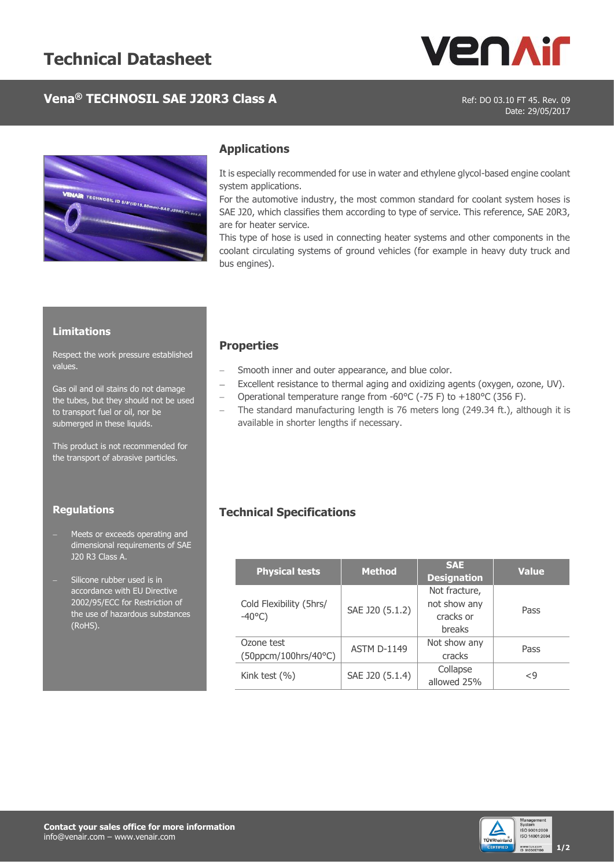

# **Vena<sup>®</sup> TECHNOSIL SAE J20R3 Class A** Ref: DO 03.10 FT 45. Rev. 09

Date: 29/05/2017



### **Applications**

It is especially recommended for use in water and ethylene glycol-based engine coolant system applications.

For the automotive industry, the most common standard for coolant system hoses is SAE J20, which classifies them according to type of service. This reference, SAE 20R3, are for heater service.

This type of hose is used in connecting heater systems and other components in the coolant circulating systems of ground vehicles (for example in heavy duty truck and bus engines).

#### **Limitations**

Respect the work pressure established values.

Gas oil and oil stains do not damage the tubes, but they should not be used to transport fuel or oil, nor be submerged in these liquids.

This product is not recommended for the transport of abrasive particles.

#### **Regulations**

- Meets or exceeds operating and dimensional requirements of SAE J20 R3 Class A.
- Silicone rubber used is in accordance with EU Directive 2002/95/ECC for Restriction of the use of hazardous substances (RoHS).

### **Properties**

- Smooth inner and outer appearance, and blue color.
- Excellent resistance to thermal aging and oxidizing agents (oxygen, ozone, UV).
- Operational temperature range from -60°C (-75 F) to +180°C (356 F).
- The standard manufacturing length is 76 meters long (249.34 ft.), although it is available in shorter lengths if necessary.

### **Technical Specifications**

| <b>Physical tests</b>   | <b>Method</b>      | <b>SAE</b><br><b>Designation</b> | <b>Value</b>   |  |  |
|-------------------------|--------------------|----------------------------------|----------------|--|--|
|                         |                    | Not fracture,                    |                |  |  |
| Cold Flexibility (5hrs/ | SAE J20 (5.1.2)    | not show any                     | Pass           |  |  |
| $-40^{\circ}$ C)        |                    | cracks or                        |                |  |  |
|                         |                    | breaks                           |                |  |  |
| Ozone test              | <b>ASTM D-1149</b> | Not show any                     | Pass           |  |  |
| (50ppcm/100hrs/40°C)    |                    | cracks                           |                |  |  |
|                         |                    | Collapse                         |                |  |  |
| Kink test $(% )$        | SAE J20 (5.1.4)    | allowed 25%                      | $\mathord{<}9$ |  |  |